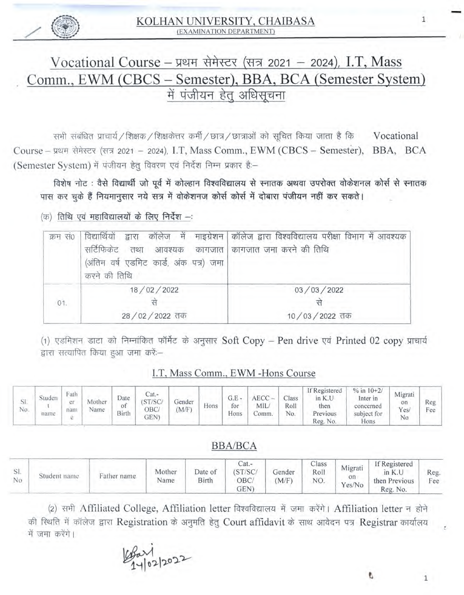

# $Vocational Course -$  प्रथम सेमेस्टर (सत्र 2021 - 2024), I.T. Mass Comm., EWM (CBCS – Semester), BBA, BCA (Semester System)<br>में पंजीयन हेत् अधिसूचना

सभी संबंधित प्राचार्य / शिक्षक / शिक्षकेत्तर कर्मी / छात्र / छात्राओं को सूचित किया जाता है कि  $\;$  Vocational Course-wr <sup>2021</sup> - 2024), I.T, Mass Comm., EWM (CBCS - Semester), BBA, BCA (Semester System) में पंजीयन हेतू विवरण एवं निर्देश निम्न प्रकार हैं:-

विशेष नोट : वैसे विद्यार्थी जो पूर्व में कोल्हान विश्वविद्यालय से स्नातक अथवा उपरोक्त वोकेशनल कोर्स से स्नातक पास कर चुके हैं नियमानुसार नये सत्र में वोकेशनज कोर्स कोर्स में दोबारा पंजीयन नहीं कर सकते।

 $($ क) तिथि एवं महाविद्यालयों के लिए निर्देश --:

| क्रम स0 | सर्टिफिकेंट तथा आवश्यक कागजात कागजात जमा करने की तिथि<br>(अंतिम वर्ष एडमिट कार्ड, अंक पत्र) जमा  <br>करने की तिथि | विद्यार्थियों द्वारा कॉलेज में माइग्रेशन कॉलेज द्वारा विश्वविद्यालय परीक्षा विभाग में आवश्यक |  |  |  |  |
|---------|-------------------------------------------------------------------------------------------------------------------|----------------------------------------------------------------------------------------------|--|--|--|--|
|         | 18/02/2022                                                                                                        | 03/03/2022                                                                                   |  |  |  |  |
| 01.     |                                                                                                                   |                                                                                              |  |  |  |  |
|         | 28/02/2022 तक                                                                                                     | 10/03/2022 तक                                                                                |  |  |  |  |

(1) एडमिशन डाटा को निम्नांकित फॉर्मेट के अनुसार Soft Copy - Pen drive एवं Printed 02 copy प्राचार्य द्वारा सत्यापित किया हुआ जमा करें:—

### l.T, Mass Comm., EWM -Hons Course

| DI.<br>No. | iuden<br>name | Fath<br><b>CS P</b><br>nam | Mother<br>Name | Date<br>ОĪ<br>Birth | Jat.∼<br>/SC<br>DBC.<br><b>GEN'</b> | Gender<br>(M/F) | Hons | G.E<br>for<br>Hons | <b>AECC</b><br>MIL.<br>omm. | Class<br>Roll<br>No. | If Registered<br>in K.U<br>then<br>Previous<br>Reg. No. | $\%$ in 10+2/<br>Inter in<br>concerned<br>subject for<br>Hons | Migrati<br>on<br>Yes/<br>No | Reg<br><b>TIME</b><br>Fee |
|------------|---------------|----------------------------|----------------|---------------------|-------------------------------------|-----------------|------|--------------------|-----------------------------|----------------------|---------------------------------------------------------|---------------------------------------------------------------|-----------------------------|---------------------------|
|------------|---------------|----------------------------|----------------|---------------------|-------------------------------------|-----------------|------|--------------------|-----------------------------|----------------------|---------------------------------------------------------|---------------------------------------------------------------|-----------------------------|---------------------------|

## BBA/BCA

| $\mathcal{L}$<br>No. | Student name | Father name | Mother<br>Name | Date of<br>Birth | $at. -$<br>ST/SC<br>ОВС<br>GEN | Gender<br>$M/F$ ) | Class<br>Roll<br>NO. | Migrati<br>on<br>Yes/No | If Registered<br>then Previous<br>Reg. No. | Reg.<br>Fee |
|----------------------|--------------|-------------|----------------|------------------|--------------------------------|-------------------|----------------------|-------------------------|--------------------------------------------|-------------|
|----------------------|--------------|-------------|----------------|------------------|--------------------------------|-------------------|----------------------|-------------------------|--------------------------------------------|-------------|

(2) सभी Affiliated College, Affiliation letter विश्वविद्यालय में जमा करेंगे। Affiliation letter न होने की स्थिति में कॉलेज द्वारा Registration के अनुमति हेतु Court affidavit के साथ आवेदन पत्र Registrar कार्यालय में जमा करेंगे।

Par1<br>14/02/2022

 $\,1$ 

1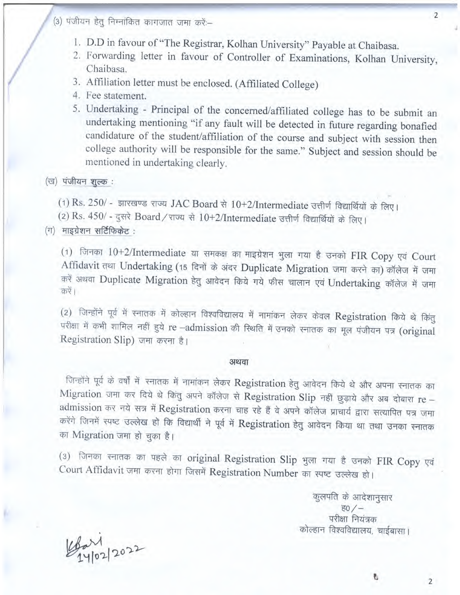- (3) पंजीयन हेतु निम्नांकित कागजात जमा करें:--
	- 1. D.D in tavour ot "The Registrar, Kolhan University" Payable at Chaibasa.
	- 2. Forwarding letter in favour of Controller of Examinations, Kolhan University, Chaibasa.
	- 3. Affiliation letter must be enclosed. (Affiliated College)
	- 4. Fee statement.
	- 5. Undertaking Principal of the concerned/affiliated college has to be submit an undertaking mentioning "if any fault will be detected in future regarding bonafied candidature of the student/affiliation of the course and subject with session then college authority will be responsible for the same." Subject and session should be mentioned in undertaking clearly.

#### $($ ख) पंजीयन शुल्क:

(1) Rs. 250/ - झारखण्ड राज्य JAC Board से  $10+2/$ Intermediate उत्तीर्ण विद्यार्थियों के लिए।

(2) Rs.  $450/$  - दुसरे Board / राज्य से  $10+2/$ Intermediate उत्तीर्ण विद्यार्थियों के लिए।

 $($ ग $)$  माइग्रेशन सर्टिफिकेट:

 $(1)$  जिनका  $10+2$ /Intermediate या समकक्ष का माइग्रेशन भुला गया है उनको FIR Copy एवं Court Affidavit तथा Undertaking (15 दिनों के अंदर Duplicate Migration जमा करने का) कॉलेज में जमा करें अथवा Duplicate Migration हेतु आवेदन किये गये फीस चालान एवं Undertaking कॉलेज में जमा करें।

(2) जिन्होंने पूर्व में स्नातक में कोल्हान विश्वविद्यालय में नामांकन लेकर केवल Registration किये थे किंतु परीक्षा में कभी शामिल नहीं हुये re -admission की स्थिति में उनको स्नातक का मूल पंजीयन पत्र (original Registration Slip) जमा करना है।

#### अथवा

जिन्होंने पूर्व के वर्षों में स्नातक में नामांकन लेकर Registration हेतु आवेदन किये थे और अपना स्नातक का Migration जमा कर दिये थे किंतु अपने कॉलेज से Registration Slip नहीं छुड़ाये और अब दोबारा re admission कर नये सत्र में Registration करना चाह रहे हैं वे अपने कॉलेज प्राचार्य द्वारा सत्यापित पत्र जमा करेंगे जिनमें स्पष्ट उल्लेख हो कि विद्यार्थी ने पूर्व में Registration हेतु आवेदन किया था तथा उनका स्नातक का Migration जमा हो चुका है।

(3) जिनका स्नातक का पहले का original Registration Slip भुला गया है उनको FIR Copy एवं Court Affidavit जमा करना होगा जिसमें Registration Number का स्पष्ट उल्लेख हो।

> कुलपति के आदेशानुसार  $\sqrt{50}/-$ परीक्षा नियंत्रक कोल्हान विश्वविद्यालय, चाईबासा।

 $4 - 12022$ 

l

2

2